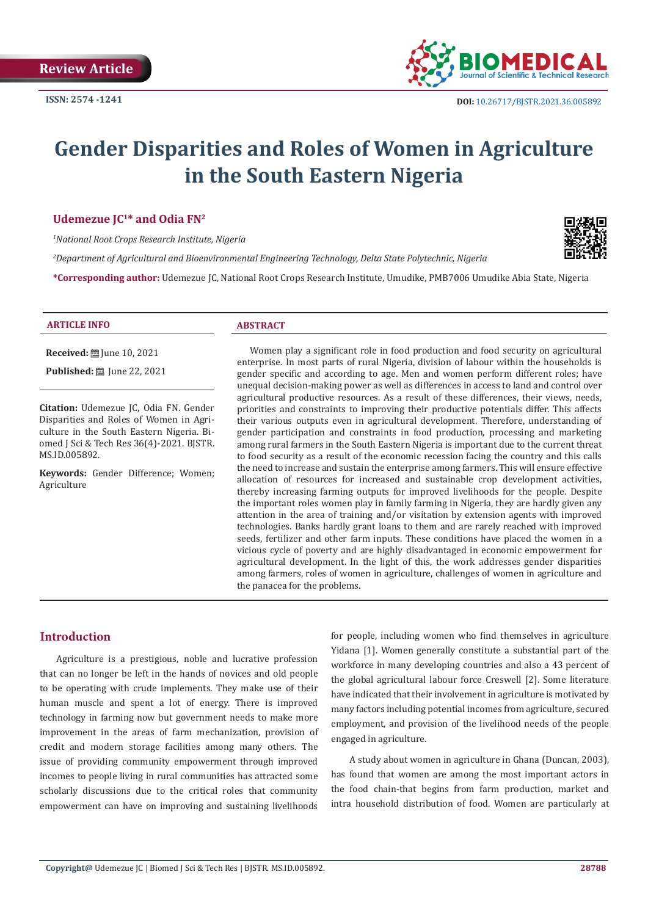

# **Gender Disparities and Roles of Women in Agriculture in the South Eastern Nigeria**

#### **Udemezue JC1\* and Odia FN2**

*1 National Root Crops Research Institute, Nigeria*

*2 Department of Agricultural and Bioenvironmental Engineering Technology, Delta State Polytechnic, Nigeria*



**\*Corresponding author:** Udemezue JC, National Root Crops Research Institute, Umudike, PMB7006 Umudike Abia State, Nigeria

#### **ARTICLE INFO ABSTRACT**

**Received:** [Une 10, 2021]

**Published:** ■ June 22, 2021

**Citation:** Udemezue JC, Odia FN. Gender Disparities and Roles of Women in Agriculture in the South Eastern Nigeria. Biomed J Sci & Tech Res 36(4)-2021. BJSTR. MS.ID.005892.

**Keywords:** Gender Difference; Women; Agriculture

Women play a significant role in food production and food security on agricultural enterprise. In most parts of rural Nigeria, division of labour within the households is gender specific and according to age. Men and women perform different roles; have unequal decision-making power as well as differences in access to land and control over agricultural productive resources. As a result of these differences, their views, needs, priorities and constraints to improving their productive potentials differ. This affects their various outputs even in agricultural development. Therefore, understanding of gender participation and constraints in food production, processing and marketing among rural farmers in the South Eastern Nigeria is important due to the current threat to food security as a result of the economic recession facing the country and this calls the need to increase and sustain the enterprise among farmers. This will ensure effective allocation of resources for increased and sustainable crop development activities, thereby increasing farming outputs for improved livelihoods for the people. Despite the important roles women play in family farming in Nigeria, they are hardly given any attention in the area of training and/or visitation by extension agents with improved technologies. Banks hardly grant loans to them and are rarely reached with improved seeds, fertilizer and other farm inputs. These conditions have placed the women in a vicious cycle of poverty and are highly disadvantaged in economic empowerment for agricultural development. In the light of this, the work addresses gender disparities among farmers, roles of women in agriculture, challenges of women in agriculture and the panacea for the problems.

## **Introduction**

Agriculture is a prestigious, noble and lucrative profession that can no longer be left in the hands of novices and old people to be operating with crude implements. They make use of their human muscle and spent a lot of energy. There is improved technology in farming now but government needs to make more improvement in the areas of farm mechanization, provision of credit and modern storage facilities among many others. The issue of providing community empowerment through improved incomes to people living in rural communities has attracted some scholarly discussions due to the critical roles that community empowerment can have on improving and sustaining livelihoods

for people, including women who find themselves in agriculture Yidana [1]. Women generally constitute a substantial part of the workforce in many developing countries and also a 43 percent of the global agricultural labour force Creswell [2]. Some literature have indicated that their involvement in agriculture is motivated by many factors including potential incomes from agriculture, secured employment, and provision of the livelihood needs of the people engaged in agriculture.

 A study about women in agriculture in Ghana (Duncan, 2003), has found that women are among the most important actors in the food chain-that begins from farm production, market and intra household distribution of food. Women are particularly at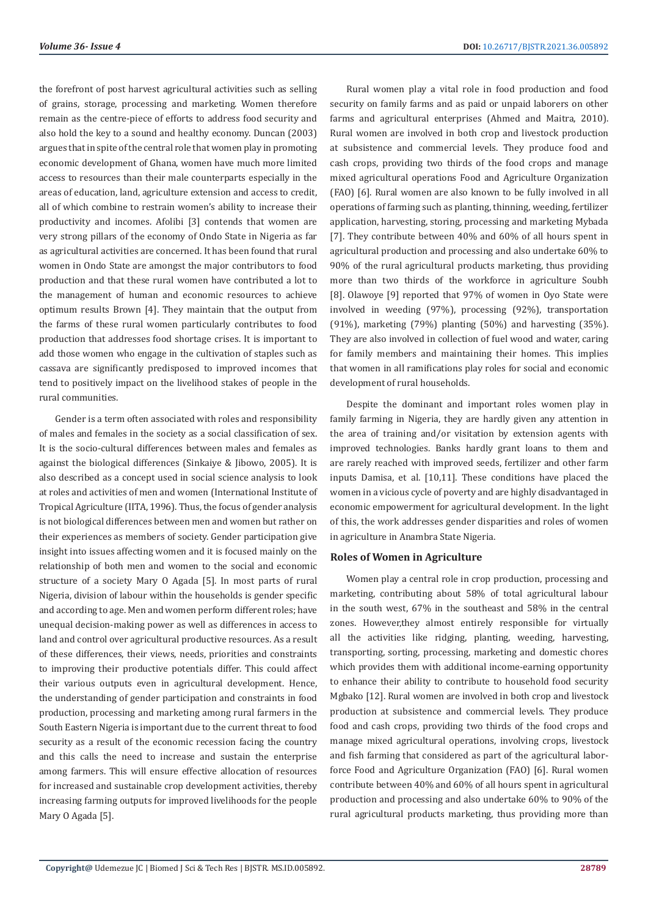the forefront of post harvest agricultural activities such as selling of grains, storage, processing and marketing. Women therefore remain as the centre-piece of efforts to address food security and also hold the key to a sound and healthy economy. Duncan (2003) argues that in spite of the central role that women play in promoting economic development of Ghana, women have much more limited access to resources than their male counterparts especially in the areas of education, land, agriculture extension and access to credit, all of which combine to restrain women's ability to increase their productivity and incomes. Afolibi [3] contends that women are very strong pillars of the economy of Ondo State in Nigeria as far as agricultural activities are concerned. It has been found that rural women in Ondo State are amongst the major contributors to food production and that these rural women have contributed a lot to the management of human and economic resources to achieve optimum results Brown [4]. They maintain that the output from the farms of these rural women particularly contributes to food production that addresses food shortage crises. It is important to add those women who engage in the cultivation of staples such as cassava are significantly predisposed to improved incomes that tend to positively impact on the livelihood stakes of people in the rural communities.

Gender is a term often associated with roles and responsibility of males and females in the society as a social classification of sex. It is the socio-cultural differences between males and females as against the biological differences (Sinkaiye & Jibowo, 2005). It is also described as a concept used in social science analysis to look at roles and activities of men and women (International Institute of Tropical Agriculture (IITA, 1996). Thus, the focus of gender analysis is not biological differences between men and women but rather on their experiences as members of society. Gender participation give insight into issues affecting women and it is focused mainly on the relationship of both men and women to the social and economic structure of a society Mary O Agada [5]. In most parts of rural Nigeria, division of labour within the households is gender specific and according to age. Men and women perform different roles; have unequal decision-making power as well as differences in access to land and control over agricultural productive resources. As a result of these differences, their views, needs, priorities and constraints to improving their productive potentials differ. This could affect their various outputs even in agricultural development. Hence, the understanding of gender participation and constraints in food production, processing and marketing among rural farmers in the South Eastern Nigeria is important due to the current threat to food security as a result of the economic recession facing the country and this calls the need to increase and sustain the enterprise among farmers. This will ensure effective allocation of resources for increased and sustainable crop development activities, thereby increasing farming outputs for improved livelihoods for the people Mary 0 Agada [5].

Rural women play a vital role in food production and food security on family farms and as paid or unpaid laborers on other farms and agricultural enterprises (Ahmed and Maitra, 2010). Rural women are involved in both crop and livestock production at subsistence and commercial levels. They produce food and cash crops, providing two thirds of the food crops and manage mixed agricultural operations Food and Agriculture Organization (FAO) [6]. Rural women are also known to be fully involved in all operations of farming such as planting, thinning, weeding, fertilizer application, harvesting, storing, processing and marketing Mybada [7]. They contribute between 40% and 60% of all hours spent in agricultural production and processing and also undertake 60% to 90% of the rural agricultural products marketing, thus providing more than two thirds of the workforce in agriculture Soubh [8]. Olawoye [9] reported that 97% of women in Oyo State were involved in weeding (97%), processing (92%), transportation (91%), marketing (79%) planting (50%) and harvesting (35%). They are also involved in collection of fuel wood and water, caring for family members and maintaining their homes. This implies that women in all ramifications play roles for social and economic development of rural households.

Despite the dominant and important roles women play in family farming in Nigeria, they are hardly given any attention in the area of training and/or visitation by extension agents with improved technologies. Banks hardly grant loans to them and are rarely reached with improved seeds, fertilizer and other farm inputs Damisa, et al. [10,11]. These conditions have placed the women in a vicious cycle of poverty and are highly disadvantaged in economic empowerment for agricultural development. In the light of this, the work addresses gender disparities and roles of women in agriculture in Anambra State Nigeria.

#### **Roles of Women in Agriculture**

Women play a central role in crop production, processing and marketing, contributing about 58% of total agricultural labour in the south west, 67% in the southeast and 58% in the central zones. However,they almost entirely responsible for virtually all the activities like ridging, planting, weeding, harvesting, transporting, sorting, processing, marketing and domestic chores which provides them with additional income-earning opportunity to enhance their ability to contribute to household food security Mgbako [12]. Rural women are involved in both crop and livestock production at subsistence and commercial levels. They produce food and cash crops, providing two thirds of the food crops and manage mixed agricultural operations, involving crops, livestock and fish farming that considered as part of the agricultural laborforce Food and Agriculture Organization (FAO) [6]. Rural women contribute between 40% and 60% of all hours spent in agricultural production and processing and also undertake 60% to 90% of the rural agricultural products marketing, thus providing more than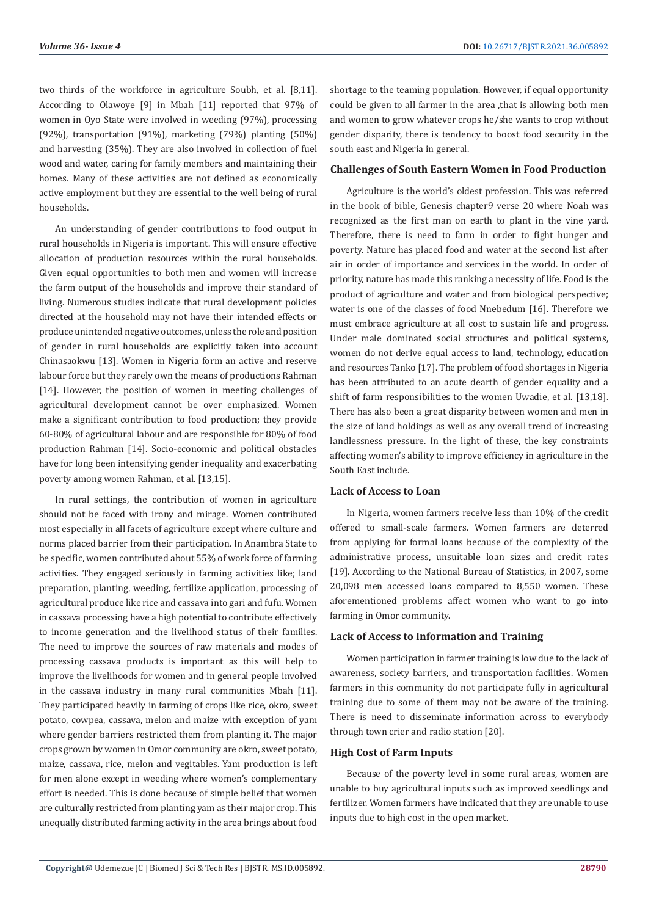two thirds of the workforce in agriculture Soubh, et al. [8,11]. According to Olawoye [9] in Mbah [11] reported that 97% of women in Oyo State were involved in weeding (97%), processing (92%), transportation (91%), marketing (79%) planting (50%) and harvesting (35%). They are also involved in collection of fuel wood and water, caring for family members and maintaining their homes. Many of these activities are not defined as economically active employment but they are essential to the well being of rural households.

An understanding of gender contributions to food output in rural households in Nigeria is important. This will ensure effective allocation of production resources within the rural households. Given equal opportunities to both men and women will increase the farm output of the households and improve their standard of living. Numerous studies indicate that rural development policies directed at the household may not have their intended effects or produce unintended negative outcomes, unless the role and position of gender in rural households are explicitly taken into account Chinasaokwu [13]. Women in Nigeria form an active and reserve labour force but they rarely own the means of productions Rahman [14]. However, the position of women in meeting challenges of agricultural development cannot be over emphasized. Women make a significant contribution to food production; they provide 60-80% of agricultural labour and are responsible for 80% of food production Rahman [14]. Socio-economic and political obstacles have for long been intensifying gender inequality and exacerbating poverty among women Rahman, et al. [13,15].

In rural settings, the contribution of women in agriculture should not be faced with irony and mirage. Women contributed most especially in all facets of agriculture except where culture and norms placed barrier from their participation. In Anambra State to be specific, women contributed about 55% of work force of farming activities. They engaged seriously in farming activities like; land preparation, planting, weeding, fertilize application, processing of agricultural produce like rice and cassava into gari and fufu. Women in cassava processing have a high potential to contribute effectively to income generation and the livelihood status of their families. The need to improve the sources of raw materials and modes of processing cassava products is important as this will help to improve the livelihoods for women and in general people involved in the cassava industry in many rural communities Mbah [11]. They participated heavily in farming of crops like rice, okro, sweet potato, cowpea, cassava, melon and maize with exception of yam where gender barriers restricted them from planting it. The major crops grown by women in Omor community are okro, sweet potato, maize, cassava, rice, melon and vegitables. Yam production is left for men alone except in weeding where women's complementary effort is needed. This is done because of simple belief that women are culturally restricted from planting yam as their major crop. This unequally distributed farming activity in the area brings about food

shortage to the teaming population. However, if equal opportunity could be given to all farmer in the area , that is allowing both men and women to grow whatever crops he/she wants to crop without gender disparity, there is tendency to boost food security in the south east and Nigeria in general.

#### **Challenges of South Eastern Women in Food Production**

Agriculture is the world's oldest profession. This was referred in the book of bible, Genesis chapter9 verse 20 where Noah was recognized as the first man on earth to plant in the vine yard. Therefore, there is need to farm in order to fight hunger and poverty. Nature has placed food and water at the second list after air in order of importance and services in the world. In order of priority, nature has made this ranking a necessity of life. Food is the product of agriculture and water and from biological perspective; water is one of the classes of food Nnebedum [16]. Therefore we must embrace agriculture at all cost to sustain life and progress. Under male dominated social structures and political systems, women do not derive equal access to land, technology, education and resources Tanko [17]. The problem of food shortages in Nigeria has been attributed to an acute dearth of gender equality and a shift of farm responsibilities to the women Uwadie, et al. [13,18]. There has also been a great disparity between women and men in the size of land holdings as well as any overall trend of increasing landlessness pressure. In the light of these, the key constraints affecting women's ability to improve efficiency in agriculture in the South East include.

#### **Lack of Access to Loan**

In Nigeria, women farmers receive less than 10% of the credit offered to small-scale farmers. Women farmers are deterred from applying for formal loans because of the complexity of the administrative process, unsuitable loan sizes and credit rates [19]. According to the National Bureau of Statistics, in 2007, some 20,098 men accessed loans compared to 8,550 women. These aforementioned problems affect women who want to go into farming in Omor community.

#### **Lack of Access to Information and Training**

Women participation in farmer training is low due to the lack of awareness, society barriers, and transportation facilities. Women farmers in this community do not participate fully in agricultural training due to some of them may not be aware of the training. There is need to disseminate information across to everybody through town crier and radio station [20].

#### **High Cost of Farm Inputs**

Because of the poverty level in some rural areas, women are unable to buy agricultural inputs such as improved seedlings and fertilizer. Women farmers have indicated that they are unable to use inputs due to high cost in the open market.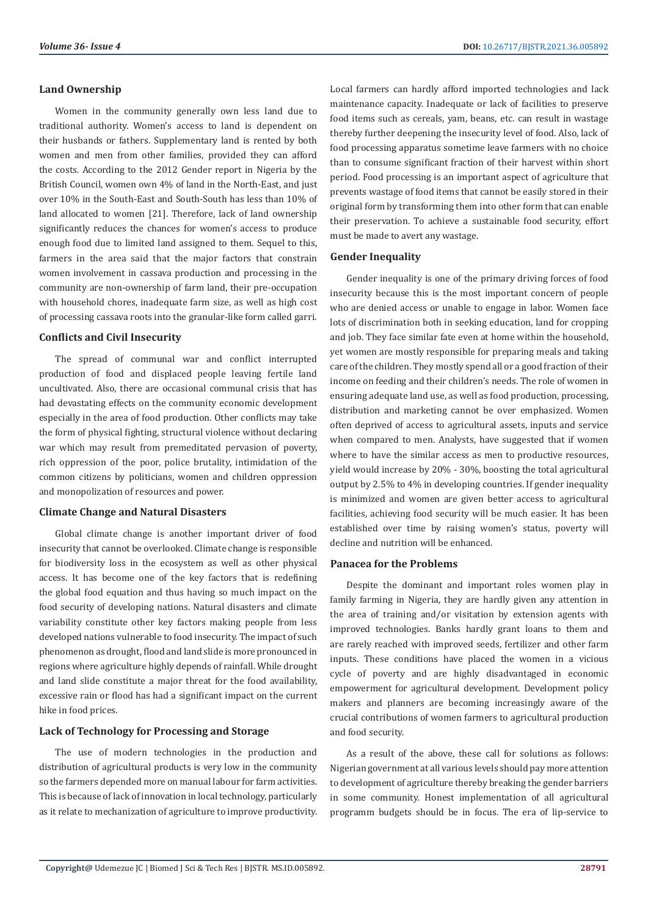#### **Land Ownership**

Women in the community generally own less land due to traditional authority. Women's access to land is dependent on their husbands or fathers. Supplementary land is rented by both women and men from other families, provided they can afford the costs. According to the 2012 Gender report in Nigeria by the British Council, women own 4% of land in the North-East, and just over 10% in the South-East and South-South has less than 10% of land allocated to women [21]. Therefore, lack of land ownership significantly reduces the chances for women's access to produce enough food due to limited land assigned to them. Sequel to this, farmers in the area said that the major factors that constrain women involvement in cassava production and processing in the community are non-ownership of farm land, their pre-occupation with household chores, inadequate farm size, as well as high cost of processing cassava roots into the granular-like form called garri.

#### **Conflicts and Civil Insecurity**

The spread of communal war and conflict interrupted production of food and displaced people leaving fertile land uncultivated. Also, there are occasional communal crisis that has had devastating effects on the community economic development especially in the area of food production. Other conflicts may take the form of physical fighting, structural violence without declaring war which may result from premeditated pervasion of poverty, rich oppression of the poor, police brutality, intimidation of the common citizens by politicians, women and children oppression and monopolization of resources and power.

#### **Climate Change and Natural Disasters**

Global climate change is another important driver of food insecurity that cannot be overlooked. Climate change is responsible for biodiversity loss in the ecosystem as well as other physical access. It has become one of the key factors that is redefining the global food equation and thus having so much impact on the food security of developing nations. Natural disasters and climate variability constitute other key factors making people from less developed nations vulnerable to food insecurity. The impact of such phenomenon as drought, flood and land slide is more pronounced in regions where agriculture highly depends of rainfall. While drought and land slide constitute a major threat for the food availability, excessive rain or flood has had a significant impact on the current hike in food prices.

### **Lack of Technology for Processing and Storage**

The use of modern technologies in the production and distribution of agricultural products is very low in the community so the farmers depended more on manual labour for farm activities. This is because of lack of innovation in local technology, particularly as it relate to mechanization of agriculture to improve productivity.

Local farmers can hardly afford imported technologies and lack maintenance capacity. Inadequate or lack of facilities to preserve food items such as cereals, yam, beans, etc. can result in wastage thereby further deepening the insecurity level of food. Also, lack of food processing apparatus sometime leave farmers with no choice than to consume significant fraction of their harvest within short period. Food processing is an important aspect of agriculture that prevents wastage of food items that cannot be easily stored in their original form by transforming them into other form that can enable their preservation. To achieve a sustainable food security, effort must be made to avert any wastage.

#### **Gender Inequality**

Gender inequality is one of the primary driving forces of food insecurity because this is the most important concern of people who are denied access or unable to engage in labor. Women face lots of discrimination both in seeking education, land for cropping and job. They face similar fate even at home within the household, yet women are mostly responsible for preparing meals and taking care of the children. They mostly spend all or a good fraction of their income on feeding and their children's needs. The role of women in ensuring adequate land use, as well as food production, processing, distribution and marketing cannot be over emphasized. Women often deprived of access to agricultural assets, inputs and service when compared to men. Analysts, have suggested that if women where to have the similar access as men to productive resources, yield would increase by 20% - 30%, boosting the total agricultural output by 2.5% to 4% in developing countries. If gender inequality is minimized and women are given better access to agricultural facilities, achieving food security will be much easier. It has been established over time by raising women's status, poverty will decline and nutrition will be enhanced.

#### **Panacea for the Problems**

Despite the dominant and important roles women play in family farming in Nigeria, they are hardly given any attention in the area of training and/or visitation by extension agents with improved technologies. Banks hardly grant loans to them and are rarely reached with improved seeds, fertilizer and other farm inputs. These conditions have placed the women in a vicious cycle of poverty and are highly disadvantaged in economic empowerment for agricultural development. Development policy makers and planners are becoming increasingly aware of the crucial contributions of women farmers to agricultural production and food security.

As a result of the above, these call for solutions as follows: Nigerian government at all various levels should pay more attention to development of agriculture thereby breaking the gender barriers in some community. Honest implementation of all agricultural programm budgets should be in focus. The era of lip-service to